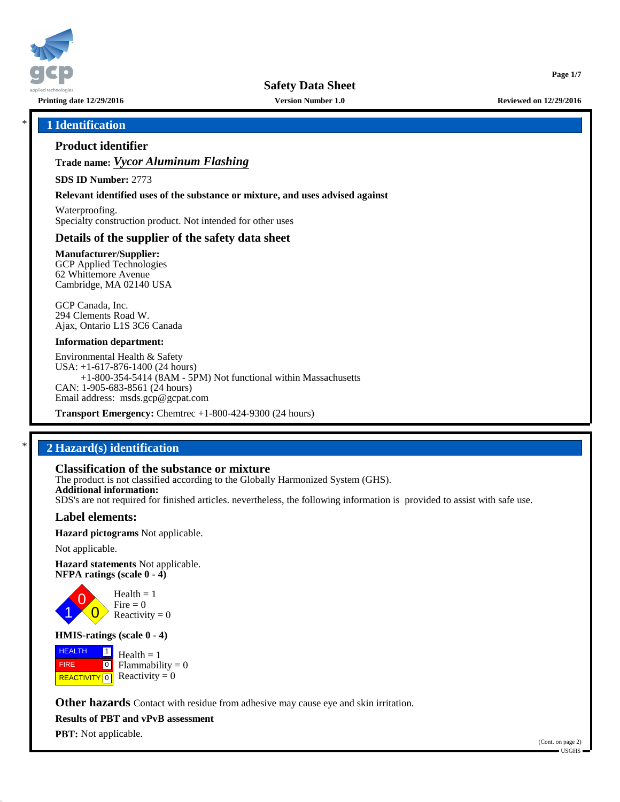

**Safety Data Sheet**

**Printing date 12/29/2016 Version Number 1.0 Reviewed on 12/29/2016**

**Page 1/7**

## \* **1 Identification**

## **Product identifier**

**Trade name:** *Vycor Aluminum Flashing*

**SDS ID Number:** 2773

**Relevant identified uses of the substance or mixture, and uses advised against**

Waterproofing. Specialty construction product. Not intended for other uses

### **Details of the supplier of the safety data sheet**

**Manufacturer/Supplier:** GCP Applied Technologies 62 Whittemore Avenue Cambridge, MA 02140 USA

GCP Canada, Inc. 294 Clements Road W. Ajax, Ontario L1S 3C6 Canada

#### **Information department:**

Environmental Health & Safety USA: +1-617-876-1400 (24 hours) +1-800-354-5414 (8AM - 5PM) Not functional within Massachusetts CAN: 1-905-683-8561 (24 hours) Email address: msds.gcp@gcpat.com

**Transport Emergency:** Chemtrec +1-800-424-9300 (24 hours)

## \* **2 Hazard(s) identification**

## **Classification of the substance or mixture**

The product is not classified according to the Globally Harmonized System (GHS). **Additional information:** SDS's are not required for finished articles. nevertheless, the following information is provided to assist with safe use.

### **Label elements:**

**Hazard pictograms** Not applicable.

Not applicable.

**Hazard statements** Not applicable. **NFPA ratings (scale 0 - 4)**



Reactivity  $= 0$ 

### **HMIS-ratings (scale 0 - 4)**

**HEALTH**  FIRE **REACTIVITY** 0  $\boxed{1}$  $\boxed{0}$  $Health = 1$ Flammability  $= 0$ Reactivity  $= 0$ 

**Other hazards** Contact with residue from adhesive may cause eye and skin irritation.

**Results of PBT and vPvB assessment**

**PBT:** Not applicable.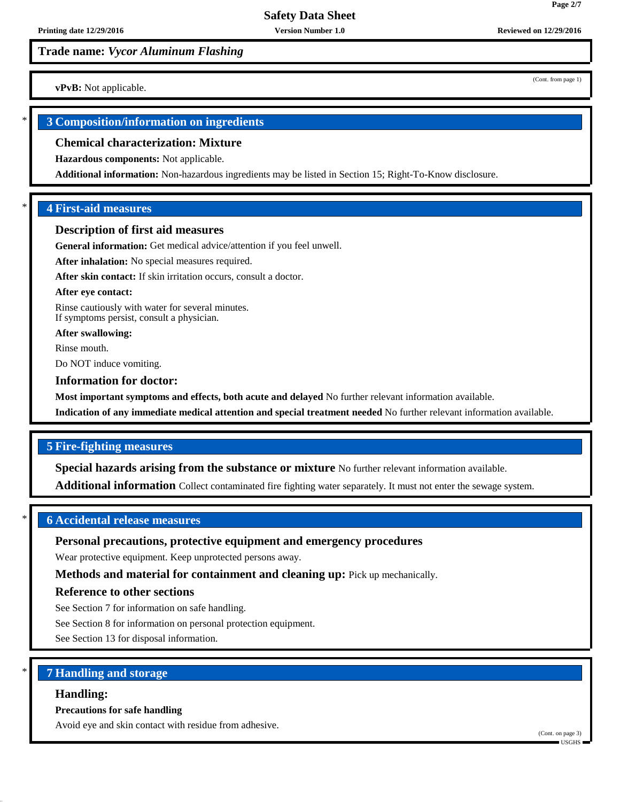## **Trade name:** *Vycor Aluminum Flashing*

**vPvB:** Not applicable.

## \* **3 Composition/information on ingredients**

#### **Chemical characterization: Mixture**

**Hazardous components:** Not applicable.

**Additional information:** Non-hazardous ingredients may be listed in Section 15; Right-To-Know disclosure.

### \* **4 First-aid measures**

#### **Description of first aid measures**

**General information:** Get medical advice/attention if you feel unwell.

**After inhalation:** No special measures required.

**After skin contact:** If skin irritation occurs, consult a doctor.

#### **After eye contact:**

Rinse cautiously with water for several minutes. If symptoms persist, consult a physician.

**After swallowing:**

Rinse mouth.

Do NOT induce vomiting.

#### **Information for doctor:**

**Most important symptoms and effects, both acute and delayed** No further relevant information available.

**Indication of any immediate medical attention and special treatment needed** No further relevant information available.

## **5 Fire-fighting measures**

**Special hazards arising from the substance or mixture** No further relevant information available.

**Additional information** Collect contaminated fire fighting water separately. It must not enter the sewage system.

## \* **6 Accidental release measures**

## **Personal precautions, protective equipment and emergency procedures**

Wear protective equipment. Keep unprotected persons away.

**Methods and material for containment and cleaning up:** Pick up mechanically.

## **Reference to other sections**

See Section 7 for information on safe handling.

See Section 8 for information on personal protection equipment.

See Section 13 for disposal information.

## \* **7 Handling and storage**

### **Handling:**

#### **Precautions for safe handling**

Avoid eye and skin contact with residue from adhesive.

(Cont. from page 1)

**Page 2/7**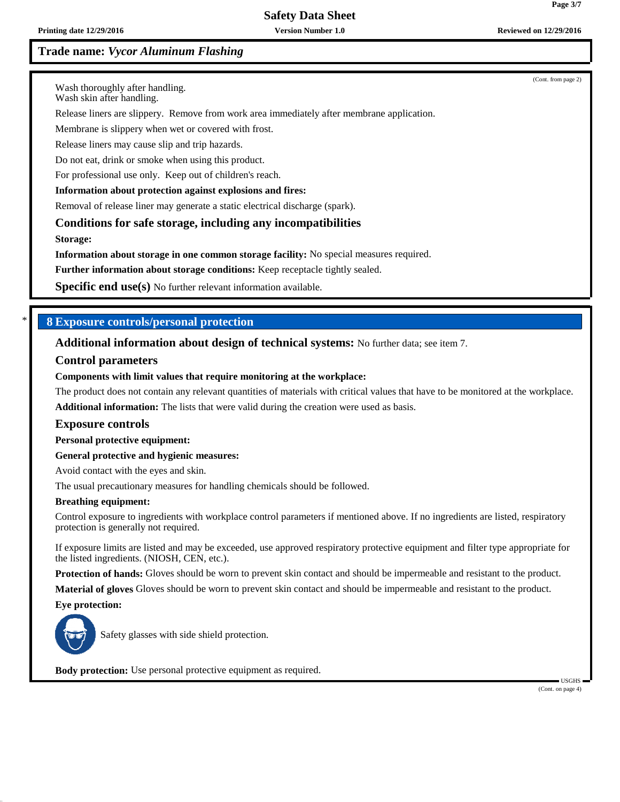# **Safety Data Sheet**

**Printing date 12/29/2016 Version Number 1.0 Reviewed on 12/29/2016**

## **Trade name:** *Vycor Aluminum Flashing*

(Cont. from page 2)

Wash thoroughly after handling.

Wash skin after handling.

Release liners are slippery. Remove from work area immediately after membrane application.

Membrane is slippery when wet or covered with frost.

Release liners may cause slip and trip hazards.

Do not eat, drink or smoke when using this product.

For professional use only. Keep out of children's reach.

#### **Information about protection against explosions and fires:**

Removal of release liner may generate a static electrical discharge (spark).

**Conditions for safe storage, including any incompatibilities**

**Storage:**

**Information about storage in one common storage facility:** No special measures required.

**Further information about storage conditions:** Keep receptacle tightly sealed.

**Specific end use(s)** No further relevant information available.

### \* **8 Exposure controls/personal protection**

**Additional information about design of technical systems:** No further data; see item 7.

#### **Control parameters**

#### **Components with limit values that require monitoring at the workplace:**

The product does not contain any relevant quantities of materials with critical values that have to be monitored at the workplace. **Additional information:** The lists that were valid during the creation were used as basis.

#### **Exposure controls**

**Personal protective equipment:**

**General protective and hygienic measures:**

Avoid contact with the eyes and skin.

The usual precautionary measures for handling chemicals should be followed.

#### **Breathing equipment:**

Control exposure to ingredients with workplace control parameters if mentioned above. If no ingredients are listed, respiratory protection is generally not required.

If exposure limits are listed and may be exceeded, use approved respiratory protective equipment and filter type appropriate for the listed ingredients. (NIOSH, CEN, etc.).

**Protection of hands:** Gloves should be worn to prevent skin contact and should be impermeable and resistant to the product.

**Material of gloves** Gloves should be worn to prevent skin contact and should be impermeable and resistant to the product.

**Eye protection:**



Safety glasses with side shield protection.

**Body protection:** Use personal protective equipment as required.

 USGHS (Cont. on page 4)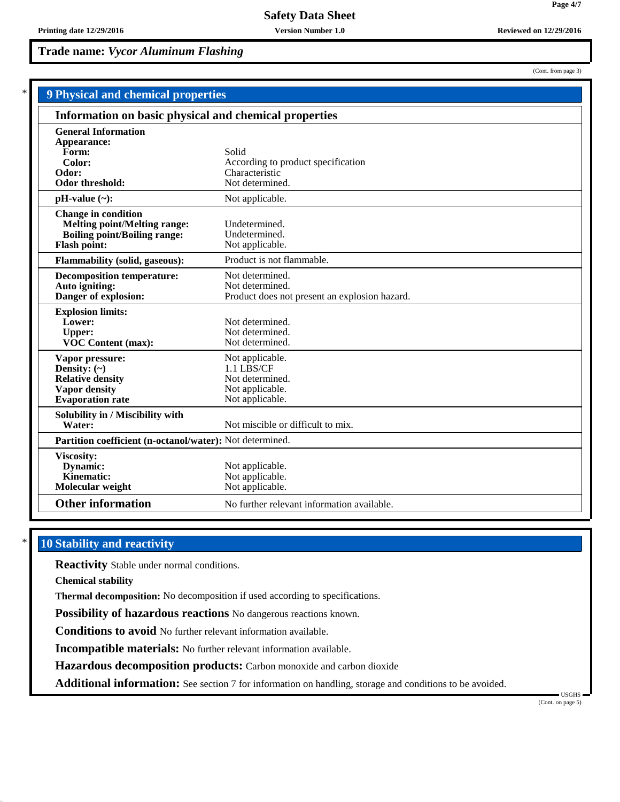**9 Physi** 

## **Trade name:** *Vycor Aluminum Flashing*

| <b>Physical and chemical properties</b>                         |                                               |  |
|-----------------------------------------------------------------|-----------------------------------------------|--|
| Information on basic physical and chemical properties           |                                               |  |
| <b>General Information</b>                                      |                                               |  |
| Appearance:                                                     |                                               |  |
| Form:                                                           | Solid                                         |  |
| Color:                                                          | According to product specification            |  |
| Odor:                                                           | Characteristic                                |  |
| Odor threshold:                                                 | Not determined.                               |  |
| $pH-value (\sim):$                                              | Not applicable.                               |  |
| <b>Change in condition</b>                                      |                                               |  |
| <b>Melting point/Melting range:</b>                             | Undetermined.                                 |  |
| <b>Boiling point/Boiling range:</b>                             | Undetermined.                                 |  |
| <b>Flash point:</b>                                             | Not applicable.                               |  |
| <b>Flammability (solid, gaseous):</b>                           | Product is not flammable.                     |  |
| <b>Decomposition temperature:</b>                               | Not determined.                               |  |
| Auto igniting:                                                  | Not determined.                               |  |
| Danger of explosion:                                            | Product does not present an explosion hazard. |  |
| <b>Explosion limits:</b>                                        |                                               |  |
| Lower:                                                          | Not determined.                               |  |
| <b>Upper:</b>                                                   | Not determined.                               |  |
| <b>VOC Content (max):</b>                                       | Not determined.                               |  |
| Vapor pressure:                                                 | Not applicable.                               |  |
| Density: $(\sim)$                                               | 1.1 LBS/CF                                    |  |
| <b>Relative density</b>                                         | Not determined.                               |  |
| <b>Vapor density</b>                                            | Not applicable.                               |  |
| <b>Evaporation rate</b>                                         | Not applicable.                               |  |
| Solubility in / Miscibility with                                |                                               |  |
| Water:                                                          | Not miscible or difficult to mix.             |  |
| <b>Partition coefficient (n-octanol/water):</b> Not determined. |                                               |  |
| Viscosity:                                                      |                                               |  |
| Dynamic:                                                        | Not applicable.                               |  |

## **Other information** No further relevant information available.

## **10 Stability and reactivity**

**Reactivity** Stable under normal conditions.

**Dynamic:** Not applicable.<br> **Kinematic:** Not applicable.

**Chemical stability**

**Molecular weight** 

**Thermal decomposition:** No decomposition if used according to specifications.

Not applicable.<br>Not applicable.

**Possibility of hazardous reactions** No dangerous reactions known.

**Conditions to avoid** No further relevant information available.

**Incompatible materials:** No further relevant information available.

**Hazardous decomposition products:** Carbon monoxide and carbon dioxide

**Additional information:** See section 7 for information on handling, storage and conditions to be avoided.

USGHS

(Cont. from page 3)

**Page 4/7**

(Cont. on page 5)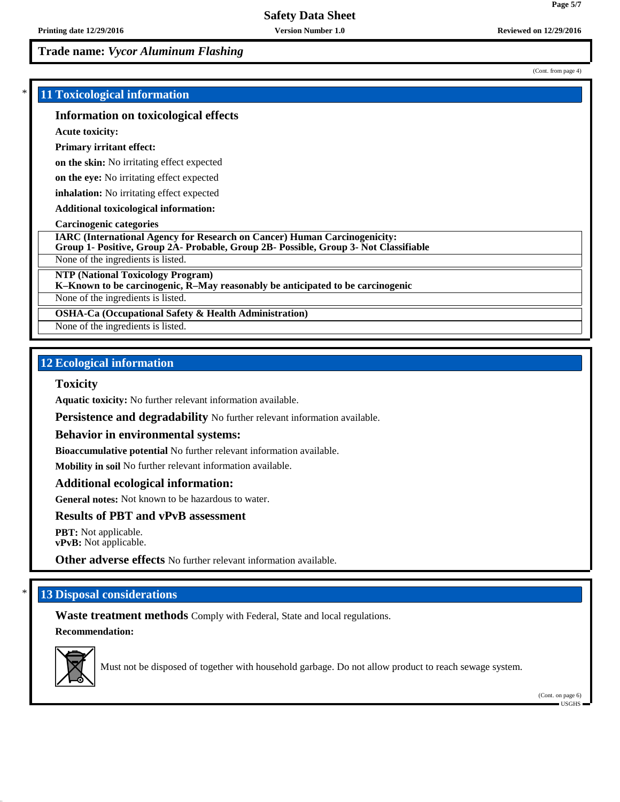## **Trade name:** *Vycor Aluminum Flashing*

## \* **11 Toxicological information**

### **Information on toxicological effects**

**Acute toxicity:**

#### **Primary irritant effect:**

**on the skin:** No irritating effect expected

**on the eye:** No irritating effect expected

**inhalation:** No irritating effect expected

**Additional toxicological information:**

#### **Carcinogenic categories**

**IARC (International Agency for Research on Cancer) Human Carcinogenicity:**

**Group 1- Positive, Group 2A- Probable, Group 2B- Possible, Group 3- Not Classifiable**

None of the ingredients is listed.

**NTP (National Toxicology Program)**

**K–Known to be carcinogenic, R–May reasonably be anticipated to be carcinogenic**

None of the ingredients is listed.

**OSHA-Ca (Occupational Safety & Health Administration)**

None of the ingredients is listed.

## **12 Ecological information**

#### **Toxicity**

**Aquatic toxicity:** No further relevant information available.

**Persistence and degradability** No further relevant information available.

#### **Behavior in environmental systems:**

**Bioaccumulative potential** No further relevant information available.

**Mobility in soil** No further relevant information available.

#### **Additional ecological information:**

**General notes:** Not known to be hazardous to water.

### **Results of PBT and vPvB assessment**

**PBT:** Not applicable. **vPvB:** Not applicable.

**Other adverse effects** No further relevant information available.

## **13 Disposal considerations**

**Waste treatment methods** Comply with Federal, State and local regulations. **Recommendation:**



Must not be disposed of together with household garbage. Do not allow product to reach sewage system.

(Cont. on page 6) USGHS

**Page 5/7**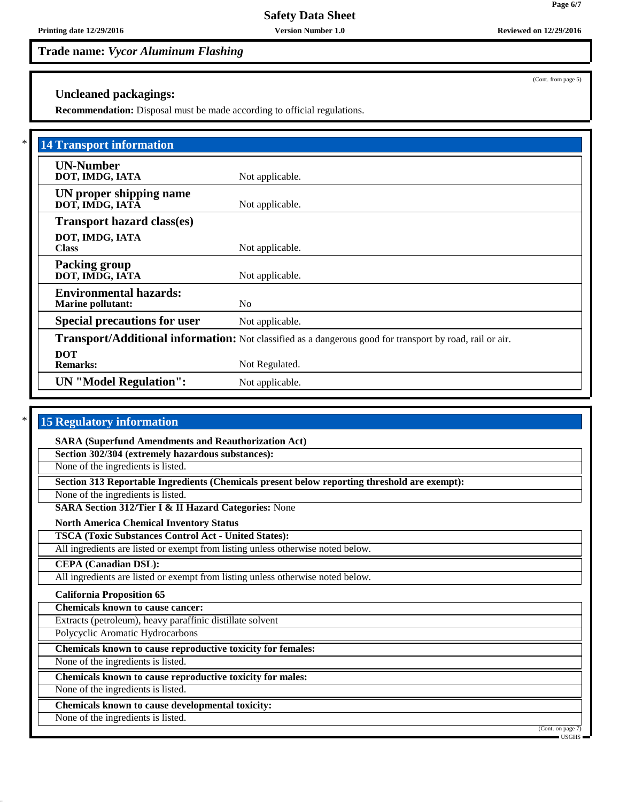# **Trade name:** *Vycor Aluminum Flashing*

## **Uncleaned packagings:**

**Recommendation:** Disposal must be made according to official regulations.

| <b>14 Transport information</b>                           |                                                                                                                 |
|-----------------------------------------------------------|-----------------------------------------------------------------------------------------------------------------|
| <b>UN-Number</b><br>DOT, IMDG, IATA                       | Not applicable.                                                                                                 |
| UN proper shipping name<br>DOT, IMDG, IATA                | Not applicable.                                                                                                 |
| <b>Transport hazard class(es)</b>                         |                                                                                                                 |
| DOT, IMDG, IATA<br><b>Class</b>                           | Not applicable.                                                                                                 |
| <b>Packing group</b><br>DOT, IMDG, IATA                   | Not applicable.                                                                                                 |
| <b>Environmental hazards:</b><br><b>Marine pollutant:</b> | N <sub>0</sub>                                                                                                  |
| <b>Special precautions for user</b>                       | Not applicable.                                                                                                 |
|                                                           | <b>Transport/Additional information:</b> Not classified as a dangerous good for transport by road, rail or air. |
| <b>DOT</b><br><b>Remarks:</b>                             | Not Regulated.                                                                                                  |
| <b>UN</b> "Model Regulation":                             | Not applicable.                                                                                                 |

## **15 Regulatory information**

**SARA (Superfund Amendments and Reauthorization Act)**

**Section 302/304 (extremely hazardous substances):**

None of the ingredients is listed.

**Section 313 Reportable Ingredients (Chemicals present below reporting threshold are exempt):**

None of the ingredients is listed.

**SARA Section 312/Tier I & II Hazard Categories:** None

**North America Chemical Inventory Status**

**TSCA (Toxic Substances Control Act - United States):**

All ingredients are listed or exempt from listing unless otherwise noted below.

**CEPA (Canadian DSL):**

All ingredients are listed or exempt from listing unless otherwise noted below.

### **California Proposition 65**

**Chemicals known to cause cancer:**

Extracts (petroleum), heavy paraffinic distillate solvent

Polycyclic Aromatic Hydrocarbons

**Chemicals known to cause reproductive toxicity for females:**

None of the ingredients is listed.

**Chemicals known to cause reproductive toxicity for males:**

None of the ingredients is listed.

**Chemicals known to cause developmental toxicity:**

None of the ingredients is listed.

(Cont. on page 7)

(Cont. from page 5)